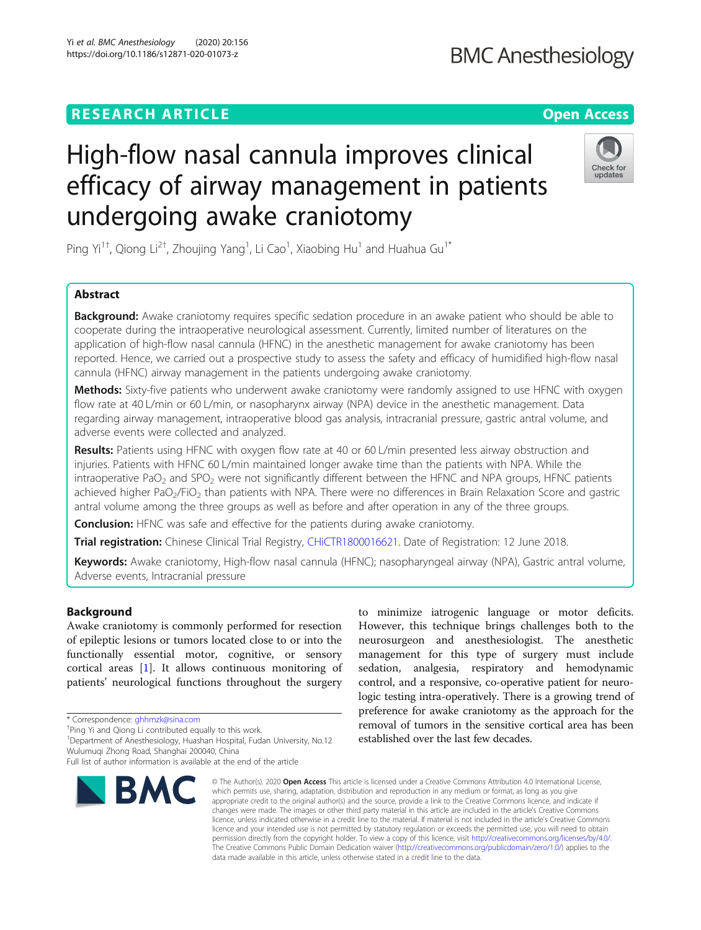## **RESEARCH ARTICLE Example 2014 12:30 The Contract of Contract ACCESS**

# High-flow nasal cannula improves clinical efficacy of airway management in patients undergoing awake craniotomy

Ping Yi<sup>1†</sup>, Qiong Li<sup>2†</sup>, Zhoujing Yang<sup>1</sup>, Li Cao<sup>1</sup>, Xiaobing Hu<sup>1</sup> and Huahua Gu<sup>1\*</sup>

## Abstract

**Background:** Awake craniotomy requires specific sedation procedure in an awake patient who should be able to cooperate during the intraoperative neurological assessment. Currently, limited number of literatures on the application of high-flow nasal cannula (HFNC) in the anesthetic management for awake craniotomy has been reported. Hence, we carried out a prospective study to assess the safety and efficacy of humidified high-flow nasal cannula (HFNC) airway management in the patients undergoing awake craniotomy.

Methods: Sixty-five patients who underwent awake craniotomy were randomly assigned to use HFNC with oxygen flow rate at 40 L/min or 60 L/min, or nasopharynx airway (NPA) device in the anesthetic management. Data regarding airway management, intraoperative blood gas analysis, intracranial pressure, gastric antral volume, and adverse events were collected and analyzed.

Results: Patients using HFNC with oxygen flow rate at 40 or 60 L/min presented less airway obstruction and injuries. Patients with HFNC 60 L/min maintained longer awake time than the patients with NPA. While the intraoperative PaO<sub>2</sub> and SPO<sub>2</sub> were not significantly different between the HFNC and NPA groups, HFNC patients achieved higher PaO<sub>2</sub>/FiO<sub>2</sub> than patients with NPA. There were no differences in Brain Relaxation Score and gastric antral volume among the three groups as well as before and after operation in any of the three groups.

**Conclusion:** HFNC was safe and effective for the patients during awake craniotomy.

Trial registration: Chinese Clinical Trial Registry, [CHiCTR1800016621.](http://www.chictr.org.cn/showproj.aspx?proj=28196) Date of Registration: 12 June 2018.

Keywords: Awake craniotomy, High-flow nasal cannula (HFNC); nasopharyngeal airway (NPA), Gastric antral volume, Adverse events, Intracranial pressure

## Background

Awake craniotomy is commonly performed for resection of epileptic lesions or tumors located close to or into the functionally essential motor, cognitive, or sensory cortical areas [[1\]](#page-6-0). It allows continuous monitoring of patients' neurological functions throughout the surgery

**BMC** 

<sup>1</sup>Department of Anesthesiology, Huashan Hospital, Fudan University, No.12 Wulumuqi Zhong Road, Shanghai 200040, China

#### © The Author(s), 2020 **Open Access** This article is licensed under a Creative Commons Attribution 4.0 International License, which permits use, sharing, adaptation, distribution and reproduction in any medium or format, as long as you give appropriate credit to the original author(s) and the source, provide a link to the Creative Commons licence, and indicate if changes were made. The images or other third party material in this article are included in the article's Creative Commons licence, unless indicated otherwise in a credit line to the material. If material is not included in the article's Creative Commons licence and your intended use is not permitted by statutory regulation or exceeds the permitted use, you will need to obtain permission directly from the copyright holder. To view a copy of this licence, visit [http://creativecommons.org/licenses/by/4.0/.](http://creativecommons.org/licenses/by/4.0/) The Creative Commons Public Domain Dedication waiver [\(http://creativecommons.org/publicdomain/zero/1.0/](http://creativecommons.org/publicdomain/zero/1.0/)) applies to the data made available in this article, unless otherwise stated in a credit line to the data.

However, this technique brings challenges both to the neurosurgeon and anesthesiologist. The anesthetic management for this type of surgery must include sedation, analgesia, respiratory and hemodynamic control, and a responsive, co-operative patient for neurologic testing intra-operatively. There is a growing trend of preference for awake craniotomy as the approach for the removal of tumors in the sensitive cortical area has been established over the last few decades.

to minimize iatrogenic language or motor deficits.







<sup>\*</sup> Correspondence: [ghhmzk@sina.com](mailto:ghhmzk@sina.com) †

<sup>&</sup>lt;sup>+</sup>Ping Yi and Qiong Li contributed equally to this work.

Full list of author information is available at the end of the article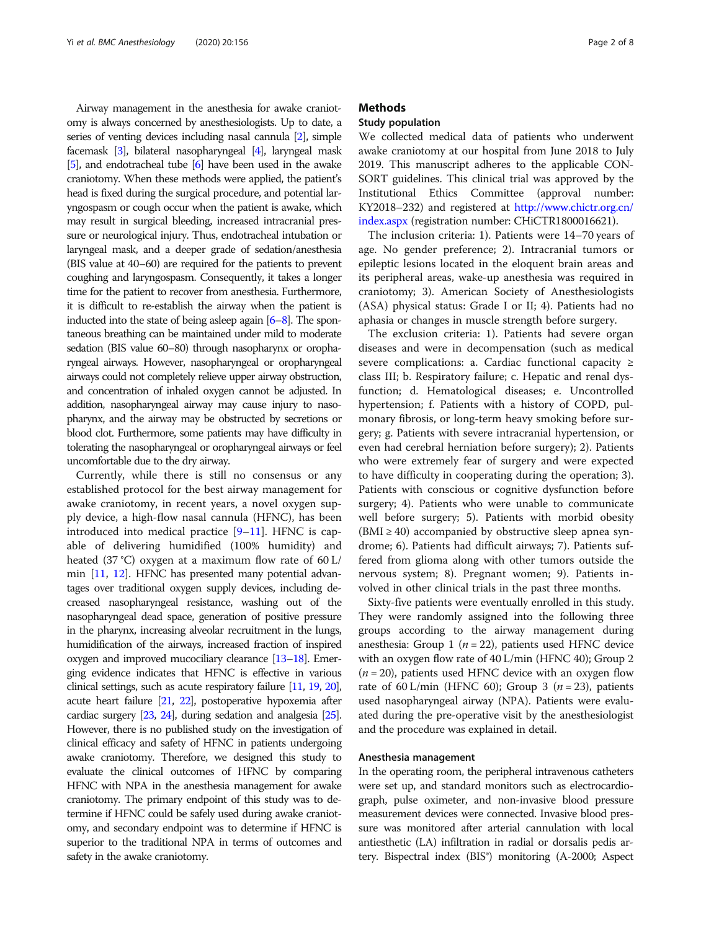Airway management in the anesthesia for awake craniotomy is always concerned by anesthesiologists. Up to date, a series of venting devices including nasal cannula [\[2](#page-6-0)], simple facemask [[3](#page-6-0)], bilateral nasopharyngeal [[4](#page-6-0)], laryngeal mask [[5](#page-6-0)], and endotracheal tube [\[6](#page-6-0)] have been used in the awake craniotomy. When these methods were applied, the patient's head is fixed during the surgical procedure, and potential laryngospasm or cough occur when the patient is awake, which may result in surgical bleeding, increased intracranial pressure or neurological injury. Thus, endotracheal intubation or laryngeal mask, and a deeper grade of sedation/anesthesia (BIS value at 40–60) are required for the patients to prevent coughing and laryngospasm. Consequently, it takes a longer time for the patient to recover from anesthesia. Furthermore, it is difficult to re-establish the airway when the patient is inducted into the state of being asleep again [\[6](#page-6-0)–[8](#page-6-0)]. The spontaneous breathing can be maintained under mild to moderate sedation (BIS value 60–80) through nasopharynx or oropharyngeal airways. However, nasopharyngeal or oropharyngeal airways could not completely relieve upper airway obstruction, and concentration of inhaled oxygen cannot be adjusted. In addition, nasopharyngeal airway may cause injury to nasopharynx, and the airway may be obstructed by secretions or blood clot. Furthermore, some patients may have difficulty in tolerating the nasopharyngeal or oropharyngeal airways or feel uncomfortable due to the dry airway.

Currently, while there is still no consensus or any established protocol for the best airway management for awake craniotomy, in recent years, a novel oxygen supply device, a high-flow nasal cannula (HFNC), has been introduced into medical practice [\[9](#page-6-0)–[11\]](#page-7-0). HFNC is capable of delivering humidified (100% humidity) and heated  $(37 \degree C)$  oxygen at a maximum flow rate of 60 L/ min [\[11,](#page-7-0) [12](#page-7-0)]. HFNC has presented many potential advantages over traditional oxygen supply devices, including decreased nasopharyngeal resistance, washing out of the nasopharyngeal dead space, generation of positive pressure in the pharynx, increasing alveolar recruitment in the lungs, humidification of the airways, increased fraction of inspired oxygen and improved mucociliary clearance [\[13](#page-7-0)–[18](#page-7-0)]. Emerging evidence indicates that HFNC is effective in various clinical settings, such as acute respiratory failure [\[11](#page-7-0), [19](#page-7-0), [20\]](#page-7-0), acute heart failure [\[21](#page-7-0), [22\]](#page-7-0), postoperative hypoxemia after cardiac surgery [[23,](#page-7-0) [24\]](#page-7-0), during sedation and analgesia [\[25\]](#page-7-0). However, there is no published study on the investigation of clinical efficacy and safety of HFNC in patients undergoing awake craniotomy. Therefore, we designed this study to evaluate the clinical outcomes of HFNC by comparing HFNC with NPA in the anesthesia management for awake craniotomy. The primary endpoint of this study was to determine if HFNC could be safely used during awake craniotomy, and secondary endpoint was to determine if HFNC is superior to the traditional NPA in terms of outcomes and safety in the awake craniotomy.

## **Methods**

## Study population

We collected medical data of patients who underwent awake craniotomy at our hospital from June 2018 to July 2019. This manuscript adheres to the applicable CON-SORT guidelines. This clinical trial was approved by the Institutional Ethics Committee (approval number: KY2018–232) and registered at [http://www.chictr.org.cn/](http://www.chictr.org.cn/index.aspx) [index.aspx](http://www.chictr.org.cn/index.aspx) (registration number: CHiCTR1800016621).

The inclusion criteria: 1). Patients were 14–70 years of age. No gender preference; 2). Intracranial tumors or epileptic lesions located in the eloquent brain areas and its peripheral areas, wake-up anesthesia was required in craniotomy; 3). American Society of Anesthesiologists (ASA) physical status: Grade I or II; 4). Patients had no aphasia or changes in muscle strength before surgery.

The exclusion criteria: 1). Patients had severe organ diseases and were in decompensation (such as medical severe complications: a. Cardiac functional capacity ≥ class III; b. Respiratory failure; c. Hepatic and renal dysfunction; d. Hematological diseases; e. Uncontrolled hypertension; f. Patients with a history of COPD, pulmonary fibrosis, or long-term heavy smoking before surgery; g. Patients with severe intracranial hypertension, or even had cerebral herniation before surgery); 2). Patients who were extremely fear of surgery and were expected to have difficulty in cooperating during the operation; 3). Patients with conscious or cognitive dysfunction before surgery; 4). Patients who were unable to communicate well before surgery; 5). Patients with morbid obesity  $(BMI \geq 40)$  accompanied by obstructive sleep apnea syndrome; 6). Patients had difficult airways; 7). Patients suffered from glioma along with other tumors outside the nervous system; 8). Pregnant women; 9). Patients involved in other clinical trials in the past three months.

Sixty-five patients were eventually enrolled in this study. They were randomly assigned into the following three groups according to the airway management during anesthesia: Group 1 ( $n = 22$ ), patients used HFNC device with an oxygen flow rate of 40 L/min (HFNC 40); Group 2  $(n = 20)$ , patients used HFNC device with an oxygen flow rate of 60 L/min (HFNC 60); Group 3 ( $n = 23$ ), patients used nasopharyngeal airway (NPA). Patients were evaluated during the pre-operative visit by the anesthesiologist and the procedure was explained in detail.

#### Anesthesia management

In the operating room, the peripheral intravenous catheters were set up, and standard monitors such as electrocardiograph, pulse oximeter, and non-invasive blood pressure measurement devices were connected. Invasive blood pressure was monitored after arterial cannulation with local antiesthetic (LA) infiltration in radial or dorsalis pedis artery. Bispectral index (BIS®) monitoring (A-2000; Aspect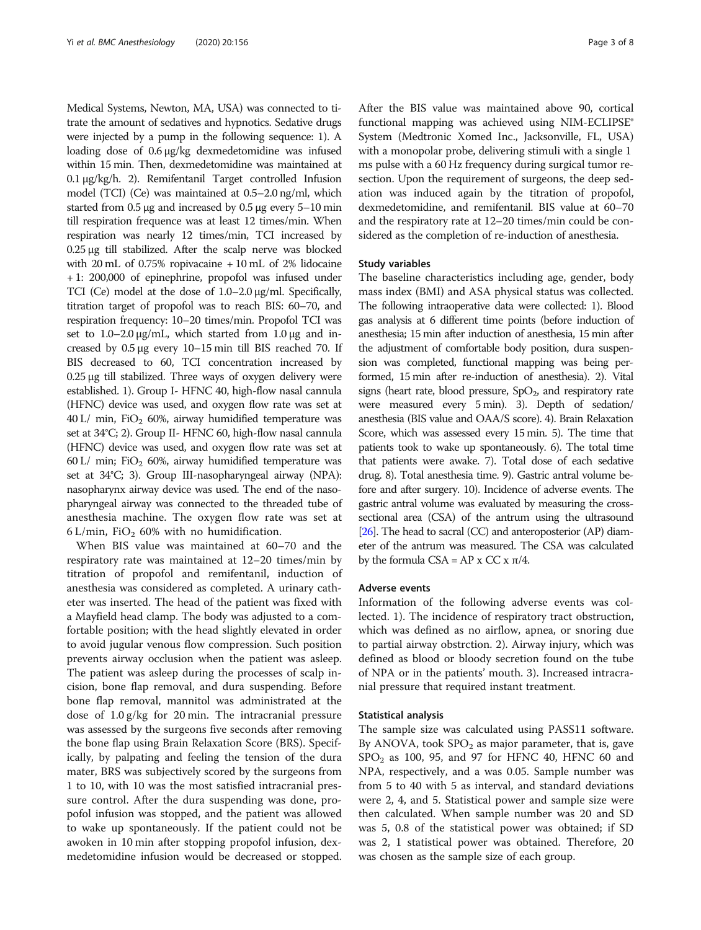Medical Systems, Newton, MA, USA) was connected to titrate the amount of sedatives and hypnotics. Sedative drugs were injected by a pump in the following sequence: 1). A loading dose of 0.6 μg/kg dexmedetomidine was infused within 15 min. Then, dexmedetomidine was maintained at 0.1 μg/kg/h. 2). Remifentanil Target controlled Infusion model (TCI) (Ce) was maintained at 0.5–2.0 ng/ml, which started from 0.5 μg and increased by 0.5 μg every 5–10 min till respiration frequence was at least 12 times/min. When respiration was nearly 12 times/min, TCI increased by 0.25 μg till stabilized. After the scalp nerve was blocked with 20 mL of 0.75% ropivacaine + 10 mL of 2% lidocaine + 1: 200,000 of epinephrine, propofol was infused under TCI (Ce) model at the dose of 1.0–2.0 μg/ml. Specifically, titration target of propofol was to reach BIS: 60–70, and respiration frequency: 10–20 times/min. Propofol TCI was set to  $1.0-2.0 \mu g/mL$ , which started from  $1.0 \mu g$  and increased by 0.5 μg every 10–15 min till BIS reached 70. If BIS decreased to 60, TCI concentration increased by 0.25 μg till stabilized. Three ways of oxygen delivery were established. 1). Group I- HFNC 40, high-flow nasal cannula (HFNC) device was used, and oxygen flow rate was set at  $40$  L/ min, FiO<sub>2</sub> 60%, airway humidified temperature was set at 34°C; 2). Group II- HFNC 60, high-flow nasal cannula (HFNC) device was used, and oxygen flow rate was set at 60 L/ min; FiO<sub>2</sub> 60%, airway humidified temperature was set at 34°C; 3). Group III-nasopharyngeal airway (NPA): nasopharynx airway device was used. The end of the nasopharyngeal airway was connected to the threaded tube of anesthesia machine. The oxygen flow rate was set at 6 L/min, FiO<sub>2</sub> 60% with no humidification.

When BIS value was maintained at 60–70 and the respiratory rate was maintained at 12–20 times/min by titration of propofol and remifentanil, induction of anesthesia was considered as completed. A urinary catheter was inserted. The head of the patient was fixed with a Mayfield head clamp. The body was adjusted to a comfortable position; with the head slightly elevated in order to avoid jugular venous flow compression. Such position prevents airway occlusion when the patient was asleep. The patient was asleep during the processes of scalp incision, bone flap removal, and dura suspending. Before bone flap removal, mannitol was administrated at the dose of 1.0 g/kg for 20 min. The intracranial pressure was assessed by the surgeons five seconds after removing the bone flap using Brain Relaxation Score (BRS). Specifically, by palpating and feeling the tension of the dura mater, BRS was subjectively scored by the surgeons from 1 to 10, with 10 was the most satisfied intracranial pressure control. After the dura suspending was done, propofol infusion was stopped, and the patient was allowed to wake up spontaneously. If the patient could not be awoken in 10 min after stopping propofol infusion, dexmedetomidine infusion would be decreased or stopped.

After the BIS value was maintained above 90, cortical functional mapping was achieved using NIM-ECLIPSE® System (Medtronic Xomed Inc., Jacksonville, FL, USA) with a monopolar probe, delivering stimuli with a single 1 ms pulse with a 60 Hz frequency during surgical tumor resection. Upon the requirement of surgeons, the deep sedation was induced again by the titration of propofol, dexmedetomidine, and remifentanil. BIS value at 60–70 and the respiratory rate at 12–20 times/min could be considered as the completion of re-induction of anesthesia.

## Study variables

The baseline characteristics including age, gender, body mass index (BMI) and ASA physical status was collected. The following intraoperative data were collected: 1). Blood gas analysis at 6 different time points (before induction of anesthesia; 15 min after induction of anesthesia, 15 min after the adjustment of comfortable body position, dura suspension was completed, functional mapping was being performed, 15 min after re-induction of anesthesia). 2). Vital signs (heart rate, blood pressure,  $SpO<sub>2</sub>$ , and respiratory rate were measured every 5 min). 3). Depth of sedation/ anesthesia (BIS value and OAA/S score). 4). Brain Relaxation Score, which was assessed every 15 min. 5). The time that patients took to wake up spontaneously. 6). The total time that patients were awake. 7). Total dose of each sedative drug. 8). Total anesthesia time. 9). Gastric antral volume before and after surgery. 10). Incidence of adverse events. The gastric antral volume was evaluated by measuring the crosssectional area (CSA) of the antrum using the ultrasound [[26\]](#page-7-0). The head to sacral (CC) and anteroposterior (AP) diameter of the antrum was measured. The CSA was calculated by the formula CSA = AP x CC x π/4.

## Adverse events

Information of the following adverse events was collected. 1). The incidence of respiratory tract obstruction, which was defined as no airflow, apnea, or snoring due to partial airway obstrction. 2). Airway injury, which was defined as blood or bloody secretion found on the tube of NPA or in the patients' mouth. 3). Increased intracranial pressure that required instant treatment.

#### Statistical analysis

The sample size was calculated using PASS11 software. By ANOVA, took  $SPO<sub>2</sub>$  as major parameter, that is, gave  $SPO<sub>2</sub>$  as 100, 95, and 97 for HFNC 40, HFNC 60 and NPA, respectively, and a was 0.05. Sample number was from 5 to 40 with 5 as interval, and standard deviations were 2, 4, and 5. Statistical power and sample size were then calculated. When sample number was 20 and SD was 5, 0.8 of the statistical power was obtained; if SD was 2, 1 statistical power was obtained. Therefore, 20 was chosen as the sample size of each group.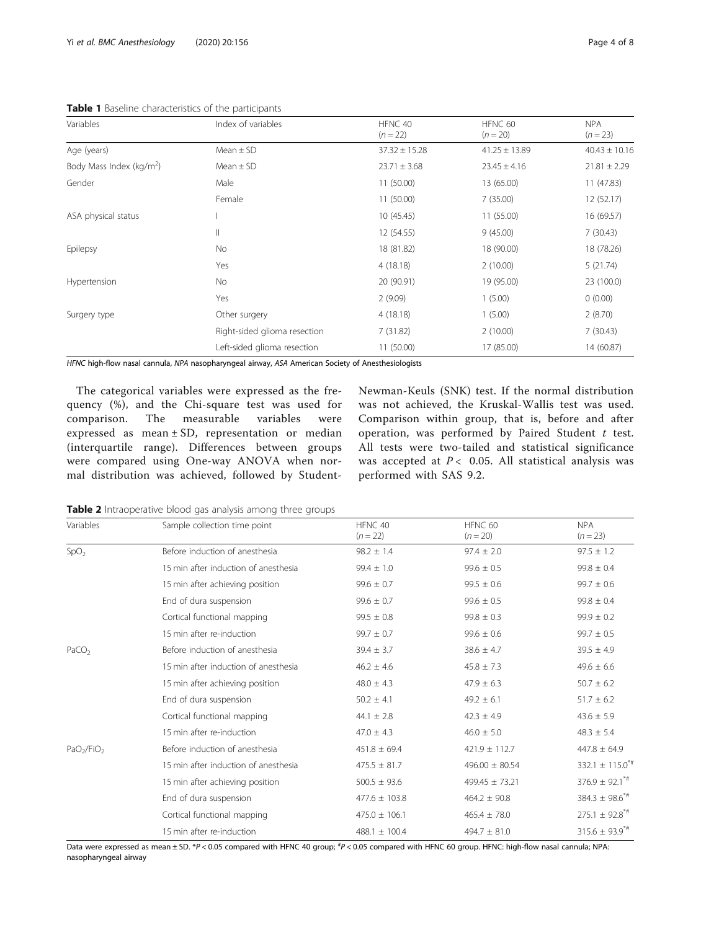| Variables                            | Index of variables           | HFNC 40<br>$(n = 22)$ | HFNC 60<br>$(n = 20)$ | <b>NPA</b><br>$(n = 23)$ |
|--------------------------------------|------------------------------|-----------------------|-----------------------|--------------------------|
| Age (years)                          | Mean $\pm$ SD                | $37.32 \pm 15.28$     | $41.25 \pm 13.89$     | $40.43 \pm 10.16$        |
| Body Mass Index (kg/m <sup>2</sup> ) | $Mean \pm SD$                | $23.71 \pm 3.68$      | $23.45 \pm 4.16$      | $21.81 \pm 2.29$         |
| Gender                               | Male                         | 11 (50.00)            | 13 (65.00)            | 11(47.83)                |
|                                      | Female                       | 11 (50.00)            | 7(35.00)              | 12 (52.17)               |
| ASA physical status                  |                              | 10(45.45)             | 11 (55.00)            | 16 (69.57)               |
|                                      | Ш                            | 12 (54.55)            | 9(45.00)              | 7(30.43)                 |
| Epilepsy                             | No                           | 18 (81.82)            | 18 (90.00)            | 18 (78.26)               |
|                                      | Yes                          | 4(18.18)              | 2(10.00)              | 5(21.74)                 |
| Hypertension                         | No.                          | 20 (90.91)            | 19 (95.00)            | 23 (100.0)               |
|                                      | Yes                          | 2(9.09)               | 1(5.00)               | 0(0.00)                  |
| Surgery type                         | Other surgery                | 4(18.18)              | 1(5.00)               | 2(8.70)                  |
|                                      | Right-sided glioma resection | 7(31.82)              | 2(10.00)              | 7(30.43)                 |
|                                      | Left-sided glioma resection  | 11 (50.00)            | 17 (85.00)            | 14 (60.87)               |

<span id="page-3-0"></span>Table 1 Baseline characteristics of the participants

HFNC high-flow nasal cannula, NPA nasopharyngeal airway, ASA American Society of Anesthesiologists

The categorical variables were expressed as the frequency (%), and the Chi-square test was used for comparison. The measurable variables were expressed as mean ± SD, representation or median (interquartile range). Differences between groups were compared using One-way ANOVA when normal distribution was achieved, followed by StudentNewman-Keuls (SNK) test. If the normal distribution was not achieved, the Kruskal-Wallis test was used. Comparison within group, that is, before and after operation, was performed by Paired Student  $t$  test. All tests were two-tailed and statistical significance was accepted at  $P < 0.05$ . All statistical analysis was performed with SAS 9.2.

Table 2 Intraoperative blood gas analysis among three groups

| Variables                          | Sample collection time point         | HFNC 40<br>$(n = 22)$ | HFNC 60<br>$(n = 20)$ | <b>NPA</b><br>$(n = 23)$        |
|------------------------------------|--------------------------------------|-----------------------|-----------------------|---------------------------------|
| SpO <sub>2</sub>                   | Before induction of anesthesia       | $98.2 \pm 1.4$        | $97.4 \pm 2.0$        | $97.5 \pm 1.2$                  |
|                                    | 15 min after induction of anesthesia | $99.4 \pm 1.0$        | $99.6 \pm 0.5$        | $99.8 \pm 0.4$                  |
|                                    | 15 min after achieving position      | $99.6 \pm 0.7$        | $99.5 \pm 0.6$        | $99.7 \pm 0.6$                  |
|                                    | End of dura suspension               | $99.6 \pm 0.7$        | $99.6 \pm 0.5$        | $99.8 \pm 0.4$                  |
|                                    | Cortical functional mapping          | $99.5 \pm 0.8$        | $99.8 \pm 0.3$        | $99.9 \pm 0.2$                  |
|                                    | 15 min after re-induction            | $99.7 \pm 0.7$        | $99.6 \pm 0.6$        | $99.7 \pm 0.5$                  |
| PaCO <sub>2</sub>                  | Before induction of anesthesia       | $39.4 \pm 3.7$        | $38.6 \pm 4.7$        | $39.5 \pm 4.9$                  |
|                                    | 15 min after induction of anesthesia | $46.2 \pm 4.6$        | $45.8 \pm 7.3$        | $49.6 \pm 6.6$                  |
|                                    | 15 min after achieving position      | $48.0 \pm 4.3$        | $47.9 \pm 6.3$        | $50.7 \pm 6.2$                  |
|                                    | End of dura suspension               | $50.2 \pm 4.1$        | $49.2 \pm 6.1$        | $51.7 \pm 6.2$                  |
|                                    | Cortical functional mapping          | 44.1 $\pm$ 2.8        | $42.3 \pm 4.9$        | $43.6 \pm 5.9$                  |
|                                    | 15 min after re-induction            | $47.0 \pm 4.3$        | $46.0 \pm 5.0$        | $48.3 \pm 5.4$                  |
| PaO <sub>2</sub> /FiO <sub>2</sub> | Before induction of anesthesia       | $451.8 \pm 69.4$      | $421.9 \pm 112.7$     | $447.8 \pm 64.9$                |
|                                    | 15 min after induction of anesthesia | $475.5 \pm 81.7$      | $496.00 \pm 80.54$    | 332.1 $\pm$ 115.0 <sup>*#</sup> |
|                                    | 15 min after achieving position      | $500.5 \pm 93.6$      | $499.45 \pm 73.21$    | $376.9 \pm 92.1$ <sup>*#</sup>  |
|                                    | End of dura suspension               | $477.6 \pm 103.8$     | $464.2 \pm 90.8$      | $384.3 \pm 98.6$ <sup>*#</sup>  |
|                                    | Cortical functional mapping          | $475.0 \pm 106.1$     | $465.4 \pm 78.0$      | $275.1 \pm 92.8$ <sup>*#</sup>  |
|                                    | 15 min after re-induction            | $488.1 \pm 100.4$     | $494.7 \pm 81.0$      | $315.6 \pm 93.9$ <sup>*#</sup>  |

Data were expressed as mean ± SD. \*P < 0.05 compared with HFNC 40 group; <sup>#</sup>P < 0.05 compared with HFNC 60 group. HFNC: high-flow nasal cannula; NPA:<br>pasopharyngeal airway nasopharyngeal airway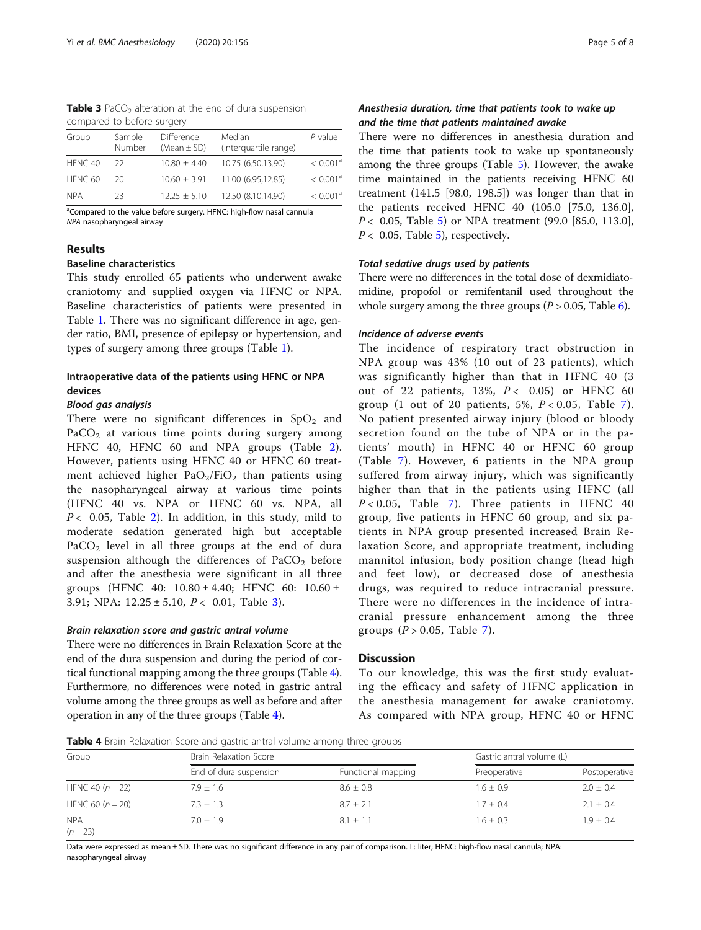| <b>Table 3</b> PaCO <sub>2</sub> alteration at the end of dura suspension |  |  |
|---------------------------------------------------------------------------|--|--|
| compared to before surgery                                                |  |  |

| Group      | Sample<br>Number | <b>Difference</b><br>(Mean $\pm$ SD) | Median<br>(Interguartile range) | $P$ value            |
|------------|------------------|--------------------------------------|---------------------------------|----------------------|
| HFNC 40    | -22              | $10.80 \pm 4.40$                     | 10.75 (6.50,13.90)              | < 0.001 <sup>8</sup> |
| HFNC 60    | 20               | $10.60 \pm 3.91$                     | 11.00 (6.95,12.85)              | < 0.001 <sup>8</sup> |
| <b>NPA</b> | 23               | $12.25 \pm 5.10$                     | 12.50 (8.10,14.90)              | < 0.001 <sup>8</sup> |

<sup>a</sup>Compared to the value before surgery. HFNC: high-flow nasal cannula NPA nasopharyngeal airway

## Results

## Baseline characteristics

This study enrolled 65 patients who underwent awake craniotomy and supplied oxygen via HFNC or NPA. Baseline characteristics of patients were presented in Table [1.](#page-3-0) There was no significant difference in age, gender ratio, BMI, presence of epilepsy or hypertension, and types of surgery among three groups (Table [1\)](#page-3-0).

## Intraoperative data of the patients using HFNC or NPA devices

## Blood gas analysis

There were no significant differences in  $SpO<sub>2</sub>$  and  $PaCO<sub>2</sub>$  at various time points during surgery among HFNC 40, HFNC 60 and NPA groups (Table [2](#page-3-0)). However, patients using HFNC 40 or HFNC 60 treatment achieved higher  $PaO<sub>2</sub>/FiO<sub>2</sub>$  than patients using the nasopharyngeal airway at various time points (HFNC 40 vs. NPA or HFNC 60 vs. NPA, all  $P < 0.05$ , Table [2](#page-3-0)). In addition, in this study, mild to moderate sedation generated high but acceptable  $PaCO<sub>2</sub>$  level in all three groups at the end of dura suspension although the differences of  $PaCO<sub>2</sub>$  before and after the anesthesia were significant in all three groups (HFNC 40:  $10.80 \pm 4.40$ ; HFNC 60:  $10.60 \pm 10.60$ 3.91; NPA:  $12.25 \pm 5.10$ ,  $P < 0.01$ , Table 3).

## Brain relaxation score and gastric antral volume

There were no differences in Brain Relaxation Score at the end of the dura suspension and during the period of cortical functional mapping among the three groups (Table 4). Furthermore, no differences were noted in gastric antral volume among the three groups as well as before and after operation in any of the three groups (Table 4).

## Anesthesia duration, time that patients took to wake up and the time that patients maintained awake

There were no differences in anesthesia duration and the time that patients took to wake up spontaneously among the three groups (Table [5\)](#page-5-0). However, the awake time maintained in the patients receiving HFNC 60 treatment (141.5 [98.0, 198.5]) was longer than that in the patients received HFNC 40 (105.0 [75.0, 136.0], P < 0.05, Table [5\)](#page-5-0) or NPA treatment (99.0 [85.0, 113.0],  $P < 0.05$  $P < 0.05$ , Table 5), respectively.

## Total sedative drugs used by patients

There were no differences in the total dose of dexmidiatomidine, propofol or remifentanil used throughout the whole surgery among the three groups  $(P > 0.05,$  Table [6](#page-5-0)).

## Incidence of adverse events

The incidence of respiratory tract obstruction in NPA group was 43% (10 out of 23 patients), which was significantly higher than that in HFNC 40 (3 out of 22 patients,  $13\%$ ,  $P < 0.05$ ) or HFNC 60 group (1 out of 20 patients, 5%,  $P < 0.05$ , Table [7\)](#page-6-0). No patient presented airway injury (blood or bloody secretion found on the tube of NPA or in the patients' mouth) in HFNC 40 or HFNC 60 group (Table [7\)](#page-6-0). However, 6 patients in the NPA group suffered from airway injury, which was significantly higher than that in the patients using HFNC (all  $P < 0.05$ , Table [7](#page-6-0)). Three patients in HFNC 40 group, five patients in HFNC 60 group, and six patients in NPA group presented increased Brain Relaxation Score, and appropriate treatment, including mannitol infusion, body position change (head high and feet low), or decreased dose of anesthesia drugs, was required to reduce intracranial pressure. There were no differences in the incidence of intracranial pressure enhancement among the three groups  $(P > 0.05$ , Table [7\)](#page-6-0).

## **Discussion**

To our knowledge, this was the first study evaluating the efficacy and safety of HFNC application in the anesthesia management for awake craniotomy. As compared with NPA group, HFNC 40 or HFNC

**Table 4** Brain Relaxation Score and gastric antral volume among three groups

| Group                    | Brain Relaxation Score |                    |               | Gastric antral volume (L) |  |
|--------------------------|------------------------|--------------------|---------------|---------------------------|--|
|                          | End of dura suspension | Functional mapping | Preoperative  | Postoperative             |  |
| HFNC 40 $(n = 22)$       | $7.9 \pm 1.6$          | $8.6 \pm 0.8$      | $1.6 \pm 0.9$ | $2.0 \pm 0.4$             |  |
| HFNC 60 $(n = 20)$       | $7.3 \pm 1.3$          | $8.7 \pm 2.1$      | $1.7 \pm 0.4$ | $2.1 \pm 0.4$             |  |
| <b>NPA</b><br>$(n = 23)$ | $7.0 + 1.9$            | $8.1 + 1.1$        | $1.6 + 0.3$   | $1.9 + 0.4$               |  |

Data were expressed as mean ± SD. There was no significant difference in any pair of comparison. L: liter; HFNC: high-flow nasal cannula; NPA: nasopharyngeal airway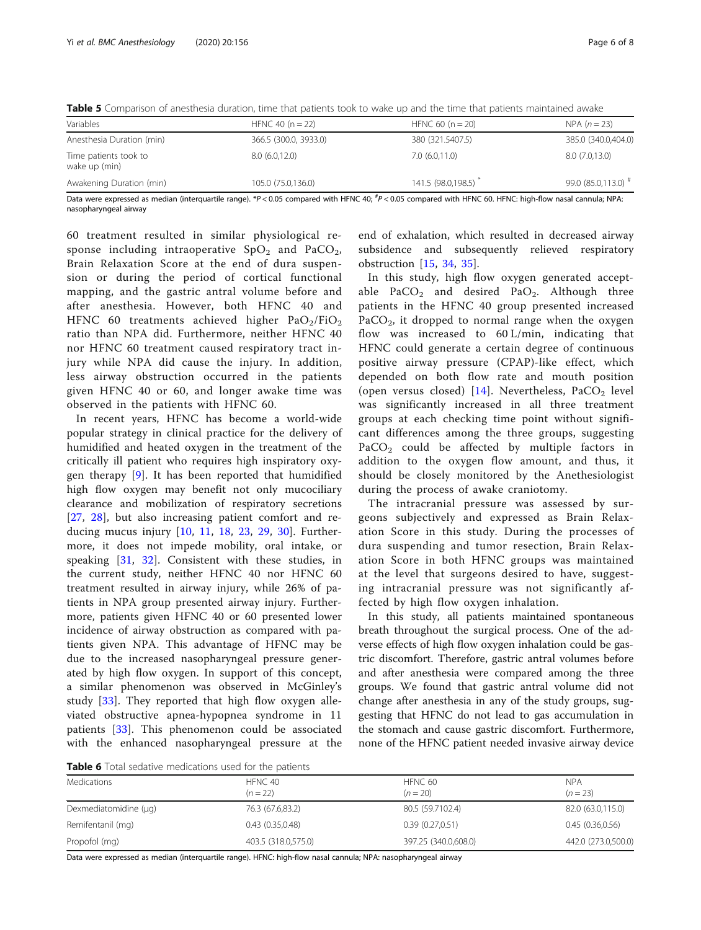| Variables                              | HFNC 40 ( $n = 22$ )  | HFNC 60 ( $n = 20$ ) | $NPA (n = 23)$      |  |
|----------------------------------------|-----------------------|----------------------|---------------------|--|
| Anesthesia Duration (min)              | 366.5 (300.0, 3933.0) | 380 (321.5407.5)     | 385.0 (340.0,404.0) |  |
| Time patients took to<br>wake up (min) | 8.0(6.0, 12.0)        | 7.0(6.0,11.0)        | 8.0(7.0, 13.0)      |  |
| Awakening Duration (min)               | 105.0 (75.0,136.0)    | 141.5 (98.0,198.5)   | 99.0 (85.0,113.0) # |  |

<span id="page-5-0"></span>Table 5 Comparison of anesthesia duration, time that patients took to wake up and the time that patients maintained awake

Data were expressed as median (interquartile range). \*P<0.05 compared with HFNC 40; <sup>#</sup>P<0.05 compared with HFNC 60. HFNC: high-flow nasal cannula; NPA:<br>pasopharyngeal airway nasopharyngeal airway

60 treatment resulted in similar physiological response including intraoperative  $SpO<sub>2</sub>$  and  $PaCO<sub>2</sub>$ , Brain Relaxation Score at the end of dura suspension or during the period of cortical functional mapping, and the gastric antral volume before and after anesthesia. However, both HFNC 40 and HFNC 60 treatments achieved higher  $PaO<sub>2</sub>/FiO<sub>2</sub>$ ratio than NPA did. Furthermore, neither HFNC 40 nor HFNC 60 treatment caused respiratory tract injury while NPA did cause the injury. In addition, less airway obstruction occurred in the patients given HFNC 40 or 60, and longer awake time was observed in the patients with HFNC 60.

In recent years, HFNC has become a world-wide popular strategy in clinical practice for the delivery of humidified and heated oxygen in the treatment of the critically ill patient who requires high inspiratory oxygen therapy [\[9](#page-6-0)]. It has been reported that humidified high flow oxygen may benefit not only mucociliary clearance and mobilization of respiratory secretions [[27,](#page-7-0) [28](#page-7-0)], but also increasing patient comfort and reducing mucus injury [[10,](#page-6-0) [11](#page-7-0), [18](#page-7-0), [23,](#page-7-0) [29](#page-7-0), [30\]](#page-7-0). Furthermore, it does not impede mobility, oral intake, or speaking [\[31](#page-7-0), [32\]](#page-7-0). Consistent with these studies, in the current study, neither HFNC 40 nor HFNC 60 treatment resulted in airway injury, while 26% of patients in NPA group presented airway injury. Furthermore, patients given HFNC 40 or 60 presented lower incidence of airway obstruction as compared with patients given NPA. This advantage of HFNC may be due to the increased nasopharyngeal pressure generated by high flow oxygen. In support of this concept, a similar phenomenon was observed in McGinley's study [[33\]](#page-7-0). They reported that high flow oxygen alleviated obstructive apnea-hypopnea syndrome in 11 patients [\[33](#page-7-0)]. This phenomenon could be associated with the enhanced nasopharyngeal pressure at the

end of exhalation, which resulted in decreased airway subsidence and subsequently relieved respiratory obstruction [[15,](#page-7-0) [34,](#page-7-0) [35](#page-7-0)].

In this study, high flow oxygen generated acceptable PaCO<sub>2</sub> and desired PaO<sub>2</sub>. Although three patients in the HFNC 40 group presented increased  $PaCO<sub>2</sub>$ , it dropped to normal range when the oxygen flow was increased to 60 L/min, indicating that HFNC could generate a certain degree of continuous positive airway pressure (CPAP)-like effect, which depended on both flow rate and mouth position (open versus closed) [[14\]](#page-7-0). Nevertheless,  $PaCO<sub>2</sub>$  level was significantly increased in all three treatment groups at each checking time point without significant differences among the three groups, suggesting PaCO<sub>2</sub> could be affected by multiple factors in addition to the oxygen flow amount, and thus, it should be closely monitored by the Anethesiologist during the process of awake craniotomy.

The intracranial pressure was assessed by surgeons subjectively and expressed as Brain Relaxation Score in this study. During the processes of dura suspending and tumor resection, Brain Relaxation Score in both HFNC groups was maintained at the level that surgeons desired to have, suggesting intracranial pressure was not significantly affected by high flow oxygen inhalation.

In this study, all patients maintained spontaneous breath throughout the surgical process. One of the adverse effects of high flow oxygen inhalation could be gastric discomfort. Therefore, gastric antral volumes before and after anesthesia were compared among the three groups. We found that gastric antral volume did not change after anesthesia in any of the study groups, suggesting that HFNC do not lead to gas accumulation in the stomach and cause gastric discomfort. Furthermore, none of the HFNC patient needed invasive airway device

Table 6 Total sedative medications used for the patients

| Medications           | HFNC 40<br>$(n=22)$ | HFNC 60<br>$(n = 20)$ | <b>NPA</b><br>$(n = 23)$ |
|-----------------------|---------------------|-----------------------|--------------------------|
| Dexmediatomidine (µg) | 76.3 (67.6,83.2)    | 80.5 (59.7102.4)      | 82.0 (63.0,115.0)        |
| Remifentanil (mg)     | 0.43(0.35,0.48)     | 0.39(0.27,0.51)       | 0.45(0.36, 0.56)         |
| Propofol (mg)         | 403.5 (318.0,575.0) | 397.25 (340.0,608.0)  | 442.0 (273.0,500.0)      |

Data were expressed as median (interquartile range). HFNC: high-flow nasal cannula; NPA: nasopharyngeal airway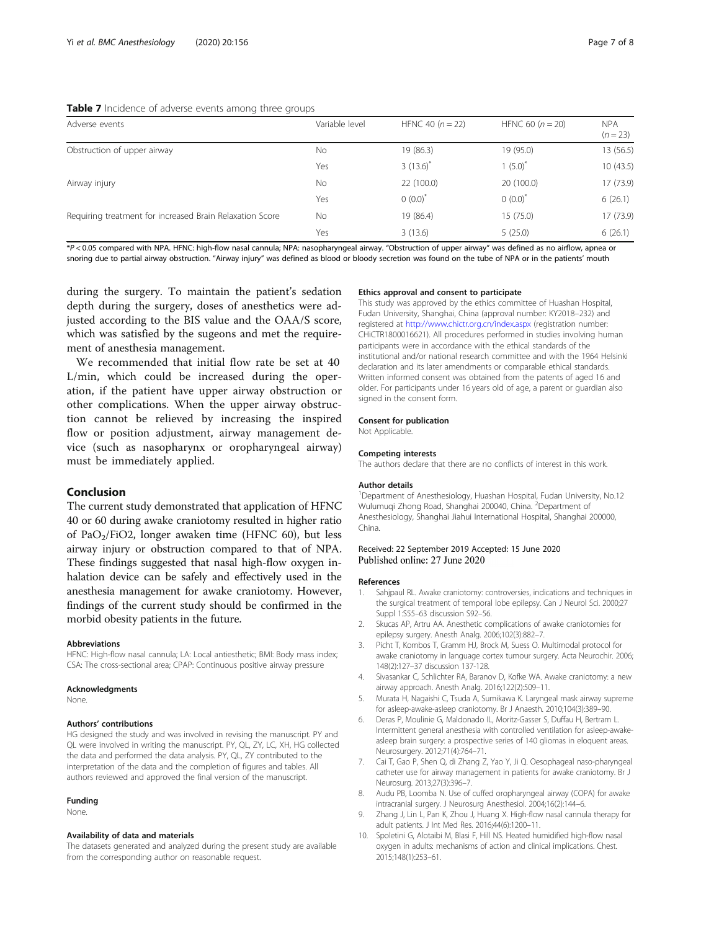#### <span id="page-6-0"></span>Table 7 Incidence of adverse events among three groups

| Adverse events                                           | Variable level | HFNC 40 $(n = 22)$ | HFNC 60 $(n = 20)$ | <b>NPA</b><br>$(n = 23)$ |
|----------------------------------------------------------|----------------|--------------------|--------------------|--------------------------|
| Obstruction of upper airway                              | <b>No</b>      | 19 (86.3)          | 19 (95.0)          | 13 (56.5)                |
|                                                          | Yes            | $3(13.6)^{*}$      | $1(5.0)^{*}$       | 10(43.5)                 |
| Airway injury                                            | <b>No</b>      | 22 (100.0)         | 20(100.0)          | 17 (73.9)                |
|                                                          | Yes            | $0(0.0)^*$         | $0(0.0)^*$         | 6(26.1)                  |
| Requiring treatment for increased Brain Relaxation Score | <b>No</b>      | 19 (86.4)          | 15(75.0)           | 17 (73.9)                |
|                                                          | Yes            | 3(13.6)            | 5(25.0)            | 6(26.1)                  |

\*P < 0.05 compared with NPA. HFNC: high-flow nasal cannula; NPA: nasopharyngeal airway. "Obstruction of upper airway" was defined as no airflow, apnea or snoring due to partial airway obstruction. "Airway injury" was defined as blood or bloody secretion was found on the tube of NPA or in the patients' mouth

during the surgery. To maintain the patient's sedation depth during the surgery, doses of anesthetics were adjusted according to the BIS value and the OAA/S score, which was satisfied by the sugeons and met the requirement of anesthesia management.

We recommended that initial flow rate be set at 40 L/min, which could be increased during the operation, if the patient have upper airway obstruction or other complications. When the upper airway obstruction cannot be relieved by increasing the inspired flow or position adjustment, airway management device (such as nasopharynx or oropharyngeal airway) must be immediately applied.

## Conclusion

The current study demonstrated that application of HFNC 40 or 60 during awake craniotomy resulted in higher ratio of PaO<sub>2</sub>/FiO2, longer awaken time (HFNC 60), but less airway injury or obstruction compared to that of NPA. These findings suggested that nasal high-flow oxygen inhalation device can be safely and effectively used in the anesthesia management for awake craniotomy. However, findings of the current study should be confirmed in the morbid obesity patients in the future.

#### Abbreviations

HFNC: High-flow nasal cannula; LA: Local antiesthetic; BMI: Body mass index; CSA: The cross-sectional area; CPAP: Continuous positive airway pressure

#### Acknowledgments

None.

#### Authors' contributions

HG designed the study and was involved in revising the manuscript. PY and QL were involved in writing the manuscript. PY, QL, ZY, LC, XH, HG collected the data and performed the data analysis. PY, QL, ZY contributed to the interpretation of the data and the completion of figures and tables. All authors reviewed and approved the final version of the manuscript.

## Funding

None.

#### Availability of data and materials

The datasets generated and analyzed during the present study are available from the corresponding author on reasonable request.

## Ethics approval and consent to participate

This study was approved by the ethics committee of Huashan Hospital, Fudan University, Shanghai, China (approval number: KY2018–232) and registered at <http://www.chictr.org.cn/index.aspx> (registration number: CHiCTR1800016621). All procedures performed in studies involving human participants were in accordance with the ethical standards of the institutional and/or national research committee and with the 1964 Helsinki declaration and its later amendments or comparable ethical standards. Written informed consent was obtained from the patents of aged 16 and older. For participants under 16 years old of age, a parent or guardian also signed in the consent form.

## Consent for publication

Not Applicable.

#### Competing interests

The authors declare that there are no conflicts of interest in this work.

#### Author details

<sup>1</sup>Department of Anesthesiology, Huashan Hospital, Fudan University, No.12 Wulumuqi Zhong Road, Shanghai 200040, China. <sup>2</sup>Department of Anesthesiology, Shanghai Jiahui International Hospital, Shanghai 200000, China.

#### Received: 22 September 2019 Accepted: 15 June 2020 Published online: 27 June 2020

#### References

- 1. Sahjpaul RL. Awake craniotomy: controversies, indications and techniques in the surgical treatment of temporal lobe epilepsy. Can J Neurol Sci. 2000;27 Suppl 1:S55–63 discussion S92–56.
- 2. Skucas AP, Artru AA. Anesthetic complications of awake craniotomies for epilepsy surgery. Anesth Analg. 2006;102(3):882–7.
- 3. Picht T, Kombos T, Gramm HJ, Brock M, Suess O. Multimodal protocol for awake craniotomy in language cortex tumour surgery. Acta Neurochir. 2006; 148(2):127–37 discussion 137-128.
- 4. Sivasankar C, Schlichter RA, Baranov D, Kofke WA. Awake craniotomy: a new airway approach. Anesth Analg. 2016;122(2):509–11.
- 5. Murata H, Nagaishi C, Tsuda A, Sumikawa K. Laryngeal mask airway supreme for asleep-awake-asleep craniotomy. Br J Anaesth. 2010;104(3):389–90.
- 6. Deras P, Moulinie G, Maldonado IL, Moritz-Gasser S, Duffau H, Bertram L. Intermittent general anesthesia with controlled ventilation for asleep-awakeasleep brain surgery: a prospective series of 140 gliomas in eloquent areas. Neurosurgery. 2012;71(4):764–71.
- 7. Cai T, Gao P, Shen Q, di Zhang Z, Yao Y, Ji Q. Oesophageal naso-pharyngeal catheter use for airway management in patients for awake craniotomy. Br J Neurosurg. 2013;27(3):396–7.
- 8. Audu PB, Loomba N. Use of cuffed oropharyngeal airway (COPA) for awake intracranial surgery. J Neurosurg Anesthesiol. 2004;16(2):144–6.
- 9. Zhang J, Lin L, Pan K, Zhou J, Huang X. High-flow nasal cannula therapy for adult patients. J Int Med Res. 2016;44(6):1200–11.
- 10. Spoletini G, Alotaibi M, Blasi F, Hill NS. Heated humidified high-flow nasal oxygen in adults: mechanisms of action and clinical implications. Chest. 2015;148(1):253–61.